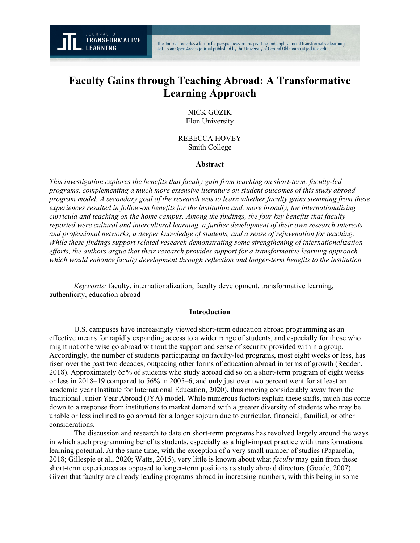

# **Faculty Gains through Teaching Abroad: A Transformative Learning Approach**

# NICK GOZIK Elon University

REBECCA HOVEY Smith College

#### **Abstract**

*This investigation explores the benefits that faculty gain from teaching on short-term, faculty-led programs, complementing a much more extensive literature on student outcomes of this study abroad program model. A secondary goal of the research was to learn whether faculty gains stemming from these experiences resulted in follow-on benefits for the institution and, more broadly, for internationalizing curricula and teaching on the home campus. Among the findings, the four key benefits that faculty reported were cultural and intercultural learning, a further development of their own research interests and professional networks, a deeper knowledge of students, and a sense of rejuvenation for teaching. While these findings support related research demonstrating some strengthening of internationalization efforts, the authors argue that their research provides support for a transformative learning approach which would enhance faculty development through reflection and longer-term benefits to the institution.*

*Keywords:* faculty, internationalization, faculty development, transformative learning, authenticity, education abroad

#### **Introduction**

U.S. campuses have increasingly viewed short-term education abroad programming as an effective means for rapidly expanding access to a wider range of students, and especially for those who might not otherwise go abroad without the support and sense of security provided within a group. Accordingly, the number of students participating on faculty-led programs, most eight weeks or less, has risen over the past two decades, outpacing other forms of education abroad in terms of growth (Redden, 2018). Approximately 65% of students who study abroad did so on a short-term program of eight weeks or less in 2018–19 compared to 56% in 2005–6, and only just over two percent went for at least an academic year (Institute for International Education, 2020), thus moving considerably away from the traditional Junior Year Abroad (JYA) model. While numerous factors explain these shifts, much has come down to a response from institutions to market demand with a greater diversity of students who may be unable or less inclined to go abroad for a longer sojourn due to curricular, financial, familial, or other considerations.

The discussion and research to date on short-term programs has revolved largely around the ways in which such programming benefits students, especially as a high-impact practice with transformational learning potential. At the same time, with the exception of a very small number of studies (Paparella, 2018; Gillespie et al., 2020; Watts, 2015), very little is known about what *faculty* may gain from these short-term experiences as opposed to longer-term positions as study abroad directors (Goode, 2007). Given that faculty are already leading programs abroad in increasing numbers, with this being in some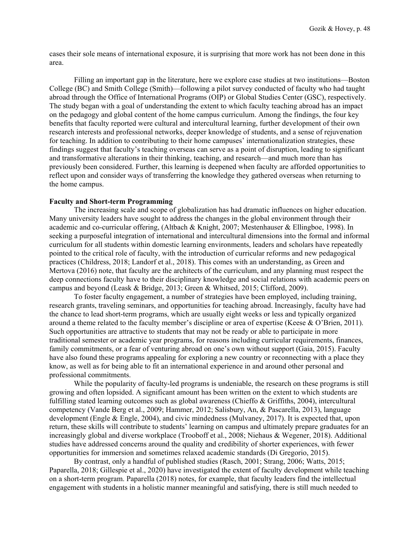cases their sole means of international exposure, it is surprising that more work has not been done in this area.

Filling an important gap in the literature, here we explore case studies at two institutions—Boston College (BC) and Smith College (Smith)—following a pilot survey conducted of faculty who had taught abroad through the Office of International Programs (OIP) or Global Studies Center (GSC), respectively. The study began with a goal of understanding the extent to which faculty teaching abroad has an impact on the pedagogy and global content of the home campus curriculum. Among the findings, the four key benefits that faculty reported were cultural and intercultural learning, further development of their own research interests and professional networks, deeper knowledge of students, and a sense of rejuvenation for teaching. In addition to contributing to their home campuses' internationalization strategies, these findings suggest that faculty's teaching overseas can serve as a point of disruption, leading to significant and transformative alterations in their thinking, teaching, and research—and much more than has previously been considered. Further, this learning is deepened when faculty are afforded opportunities to reflect upon and consider ways of transferring the knowledge they gathered overseas when returning to the home campus.

#### **Faculty and Short-term Programming**

The increasing scale and scope of globalization has had dramatic influences on higher education. Many university leaders have sought to address the changes in the global environment through their academic and co-curricular offering, (Altbach & Knight, 2007; Mestenhauser & Ellingboe, 1998). In seeking a purposeful integration of international and intercultural dimensions into the formal and informal curriculum for all students within domestic learning environments, leaders and scholars have repeatedly pointed to the critical role of faculty, with the introduction of curricular reforms and new pedagogical practices (Childress, 2018; Landorf et al., 2018). This comes with an understanding, as Green and Mertova (2016) note, that faculty are the architects of the curriculum, and any planning must respect the deep connections faculty have to their disciplinary knowledge and social relations with academic peers on campus and beyond (Leask & Bridge, 2013; Green & Whitsed, 2015; Clifford, 2009).

To foster faculty engagement, a number of strategies have been employed, including training, research grants, traveling seminars, and opportunities for teaching abroad. Increasingly, faculty have had the chance to lead short-term programs, which are usually eight weeks or less and typically organized around a theme related to the faculty member's discipline or area of expertise (Keese & O'Brien, 2011). Such opportunities are attractive to students that may not be ready or able to participate in more traditional semester or academic year programs, for reasons including curricular requirements, finances, family commitments, or a fear of venturing abroad on one's own without support (Gaia, 2015). Faculty have also found these programs appealing for exploring a new country or reconnecting with a place they know, as well as for being able to fit an international experience in and around other personal and professional commitments.

While the popularity of faculty-led programs is undeniable, the research on these programs is still growing and often lopsided. A significant amount has been written on the extent to which students are fulfilling stated learning outcomes such as global awareness (Chieffo & Griffiths, 2004), intercultural competency (Vande Berg et al., 2009; Hammer, 2012; Salisbury, An, & Pascarella, 2013), language development (Engle & Engle, 2004), and civic mindedness (Mulvaney, 2017). It is expected that, upon return, these skills will contribute to students' learning on campus and ultimately prepare graduates for an increasingly global and diverse workplace (Trooboff et al., 2008; Niehaus & Wegener, 2018). Additional studies have addressed concerns around the quality and credibility of shorter experiences, with fewer opportunities for immersion and sometimes relaxed academic standards (Di Gregorio, 2015).

By contrast, only a handful of published studies (Rasch, 2001; Strang, 2006; Watts, 2015; Paparella, 2018; Gillespie et al., 2020) have investigated the extent of faculty development while teaching on a short-term program. Paparella (2018) notes, for example, that faculty leaders find the intellectual engagement with students in a holistic manner meaningful and satisfying, there is still much needed to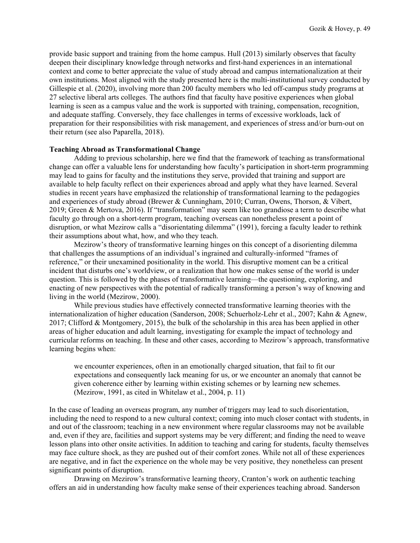provide basic support and training from the home campus. Hull (2013) similarly observes that faculty deepen their disciplinary knowledge through networks and first-hand experiences in an international context and come to better appreciate the value of study abroad and campus internationalization at their own institutions. Most aligned with the study presented here is the multi-institutional survey conducted by Gillespie et al. (2020), involving more than 200 faculty members who led off-campus study programs at 27 selective liberal arts colleges. The authors find that faculty have positive experiences when global learning is seen as a campus value and the work is supported with training, compensation, recognition, and adequate staffing. Conversely, they face challenges in terms of excessive workloads, lack of preparation for their responsibilities with risk management, and experiences of stress and/or burn-out on their return (see also Paparella, 2018).

#### **Teaching Abroad as Transformational Change**

Adding to previous scholarship, here we find that the framework of teaching as transformational change can offer a valuable lens for understanding how faculty's participation in short-term programming may lead to gains for faculty and the institutions they serve, provided that training and support are available to help faculty reflect on their experiences abroad and apply what they have learned. Several studies in recent years have emphasized the relationship of transformational learning to the pedagogies and experiences of study abroad (Brewer & Cunningham, 2010; Curran, Owens, Thorson, & Vibert, 2019; Green & Mertova, 2016). If "transformation" may seem like too grandiose a term to describe what faculty go through on a short-term program, teaching overseas can nonetheless present a point of disruption, or what Mezirow calls a "disorientating dilemma" (1991), forcing a faculty leader to rethink their assumptions about what, how, and who they teach.

Mezirow's theory of transformative learning hinges on this concept of a disorienting dilemma that challenges the assumptions of an individual's ingrained and culturally-informed "frames of reference," or their unexamined positionality in the world. This disruptive moment can be a critical incident that disturbs one's worldview, or a realization that how one makes sense of the world is under question. This is followed by the phases of transformative learning—the questioning, exploring, and enacting of new perspectives with the potential of radically transforming a person's way of knowing and living in the world (Mezirow, 2000).

While previous studies have effectively connected transformative learning theories with the internationalization of higher education (Sanderson, 2008; Schuerholz-Lehr et al., 2007; Kahn & Agnew, 2017; Clifford & Montgomery, 2015), the bulk of the scholarship in this area has been applied in other areas of higher education and adult learning, investigating for example the impact of technology and curricular reforms on teaching. In these and other cases, according to Mezirow's approach, transformative learning begins when:

we encounter experiences, often in an emotionally charged situation, that fail to fit our expectations and consequently lack meaning for us, or we encounter an anomaly that cannot be given coherence either by learning within existing schemes or by learning new schemes. (Mezirow, 1991, as cited in Whitelaw et al., 2004, p. 11)

In the case of leading an overseas program, any number of triggers may lead to such disorientation, including the need to respond to a new cultural context; coming into much closer contact with students, in and out of the classroom; teaching in a new environment where regular classrooms may not be available and, even if they are, facilities and support systems may be very different; and finding the need to weave lesson plans into other onsite activities. In addition to teaching and caring for students, faculty themselves may face culture shock, as they are pushed out of their comfort zones. While not all of these experiences are negative, and in fact the experience on the whole may be very positive, they nonetheless can present significant points of disruption.

Drawing on Mezirow's transformative learning theory, Cranton's work on authentic teaching offers an aid in understanding how faculty make sense of their experiences teaching abroad. Sanderson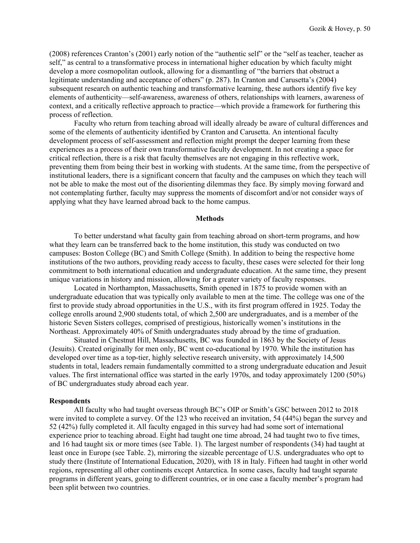(2008) references Cranton's (2001) early notion of the "authentic self" or the "self as teacher, teacher as self," as central to a transformative process in international higher education by which faculty might develop a more cosmopolitan outlook, allowing for a dismantling of "the barriers that obstruct a legitimate understanding and acceptance of others" (p. 287). In Cranton and Carusetta's (2004) subsequent research on authentic teaching and transformative learning, these authors identify five key elements of authenticity—self-awareness, awareness of others, relationships with learners, awareness of context, and a critically reflective approach to practice—which provide a framework for furthering this process of reflection.

Faculty who return from teaching abroad will ideally already be aware of cultural differences and some of the elements of authenticity identified by Cranton and Carusetta. An intentional faculty development process of self-assessment and reflection might prompt the deeper learning from these experiences as a process of their own transformative faculty development. In not creating a space for critical reflection, there is a risk that faculty themselves are not engaging in this reflective work, preventing them from being their best in working with students. At the same time, from the perspective of institutional leaders, there is a significant concern that faculty and the campuses on which they teach will not be able to make the most out of the disorienting dilemmas they face. By simply moving forward and not contemplating further, faculty may suppress the moments of discomfort and/or not consider ways of applying what they have learned abroad back to the home campus.

#### **Methods**

To better understand what faculty gain from teaching abroad on short-term programs, and how what they learn can be transferred back to the home institution, this study was conducted on two campuses: Boston College (BC) and Smith College (Smith). In addition to being the respective home institutions of the two authors, providing ready access to faculty, these cases were selected for their long commitment to both international education and undergraduate education. At the same time, they present unique variations in history and mission, allowing for a greater variety of faculty responses.

Located in Northampton, Massachusetts, Smith opened in 1875 to provide women with an undergraduate education that was typically only available to men at the time. The college was one of the first to provide study abroad opportunities in the U.S., with its first program offered in 1925. Today the college enrolls around 2,900 students total, of which 2,500 are undergraduates, and is a member of the historic Seven Sisters colleges, comprised of prestigious, historically women's institutions in the Northeast. Approximately 40% of Smith undergraduates study abroad by the time of graduation.

Situated in Chestnut Hill, Massachusetts, BC was founded in 1863 by the Society of Jesus (Jesuits). Created originally for men only, BC went co-educational by 1970. While the institution has developed over time as a top-tier, highly selective research university, with approximately 14,500 students in total, leaders remain fundamentally committed to a strong undergraduate education and Jesuit values. The first international office was started in the early 1970s, and today approximately 1200 (50%) of BC undergraduates study abroad each year.

#### **Respondents**

All faculty who had taught overseas through BC's OIP or Smith's GSC between 2012 to 2018 were invited to complete a survey. Of the 123 who received an invitation, 54 (44%) began the survey and 52 (42%) fully completed it. All faculty engaged in this survey had had some sort of international experience prior to teaching abroad. Eight had taught one time abroad, 24 had taught two to five times, and 16 had taught six or more times (see Table. 1). The largest number of respondents (34) had taught at least once in Europe (see Table. 2), mirroring the sizeable percentage of U.S. undergraduates who opt to study there (Institute of International Education, 2020), with 18 in Italy. Fifteen had taught in other world regions, representing all other continents except Antarctica. In some cases, faculty had taught separate programs in different years, going to different countries, or in one case a faculty member's program had been split between two countries.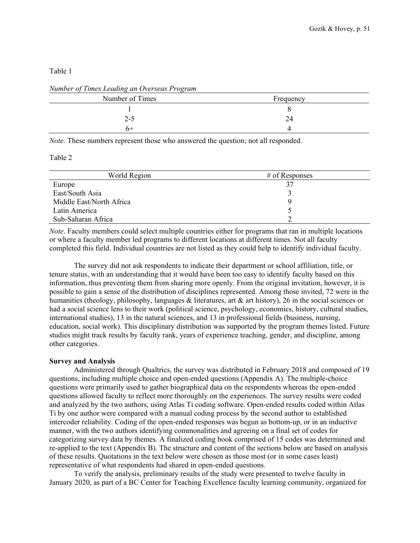## Table 1

| Frequency |  |
|-----------|--|
|           |  |
| 24        |  |
|           |  |
|           |  |

*Number of Times Leading an Overseas Program*

*Note.* These numbers represent those who answered the question; not all responded.

## Table 2

| World Region             | $#$ of Responses |
|--------------------------|------------------|
| Europe                   |                  |
| East/South Asia          |                  |
| Middle East/North Africa |                  |
| Latin America            |                  |
| Sub-Saharan Africa       |                  |

*Note*. Faculty members could select multiple countries either for programs that ran in multiple locations or where a faculty member led programs to different locations at different times. Not all faculty completed this field. Individual countries are not listed as they could help to identify individual faculty.

The survey did not ask respondents to indicate their department or school affiliation, title, or tenure status, with an understanding that it would have been too easy to identify faculty based on this information, thus preventing them from sharing more openly. From the original invitation, however, it is possible to gain a sense of the distribution of disciplines represented. Among those invited, 72 were in the humanities (theology, philosophy, languages & literatures, art & art history), 26 in the social sciences or had a social science lens to their work (political science, psychology, economics, history, cultural studies, international studies), 13 in the natural sciences, and 13 in professional fields (business, nursing, education, social work). This disciplinary distribution was supported by the program themes listed. Future studies might track results by faculty rank, years of experience teaching, gender, and discipline, among other categories.

# **Survey and Analysis**

Administered through Qualtrics, the survey was distributed in February 2018 and composed of 19 questions, including multiple choice and open-ended questions (Appendix A). The multiple-choice questions were primarily used to gather biographical data on the respondents whereas the open-ended questions allowed faculty to reflect more thoroughly on the experiences. The survey results were coded and analyzed by the two authors, using Atlas Ti coding software. Open-ended results coded within Atlas Ti by one author were compared with a manual coding process by the second author to established intercoder reliability. Coding of the open-ended responses was begun as bottom-up, or in an inductive manner, with the two authors identifying commonalities and agreeing on a final set of codes for categorizing survey data by themes. A finalized coding book comprised of 15 codes was determined and re-applied to the text (Appendix B). The structure and content of the sections below are based on analysis of these results. Quotations in the text below were chosen as those most (or in some cases least) representative of what respondents had shared in open-ended questions.

To verify the analysis, preliminary results of the study were presented to twelve faculty in January 2020, as part of a BC Center for Teaching Excellence faculty learning community, organized for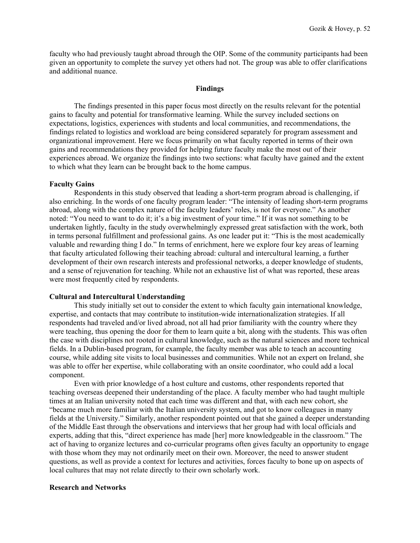faculty who had previously taught abroad through the OIP. Some of the community participants had been given an opportunity to complete the survey yet others had not. The group was able to offer clarifications and additional nuance.

#### **Findings**

The findings presented in this paper focus most directly on the results relevant for the potential gains to faculty and potential for transformative learning. While the survey included sections on expectations, logistics, experiences with students and local communities, and recommendations, the findings related to logistics and workload are being considered separately for program assessment and organizational improvement. Here we focus primarily on what faculty reported in terms of their own gains and recommendations they provided for helping future faculty make the most out of their experiences abroad. We organize the findings into two sections: what faculty have gained and the extent to which what they learn can be brought back to the home campus.

#### **Faculty Gains**

Respondents in this study observed that leading a short-term program abroad is challenging, if also enriching. In the words of one faculty program leader: "The intensity of leading short-term programs abroad, along with the complex nature of the faculty leaders' roles, is not for everyone." As another noted: "You need to want to do it; it's a big investment of your time." If it was not something to be undertaken lightly, faculty in the study overwhelmingly expressed great satisfaction with the work, both in terms personal fulfillment and professional gains. As one leader put it: "This is the most academically valuable and rewarding thing I do." In terms of enrichment, here we explore four key areas of learning that faculty articulated following their teaching abroad: cultural and intercultural learning, a further development of their own research interests and professional networks, a deeper knowledge of students, and a sense of rejuvenation for teaching. While not an exhaustive list of what was reported, these areas were most frequently cited by respondents.

#### **Cultural and Intercultural Understanding**

This study initially set out to consider the extent to which faculty gain international knowledge, expertise, and contacts that may contribute to institution-wide internationalization strategies. If all respondents had traveled and/or lived abroad, not all had prior familiarity with the country where they were teaching, thus opening the door for them to learn quite a bit, along with the students. This was often the case with disciplines not rooted in cultural knowledge, such as the natural sciences and more technical fields. In a Dublin-based program, for example, the faculty member was able to teach an accounting course, while adding site visits to local businesses and communities. While not an expert on Ireland, she was able to offer her expertise, while collaborating with an onsite coordinator, who could add a local component.

Even with prior knowledge of a host culture and customs, other respondents reported that teaching overseas deepened their understanding of the place. A faculty member who had taught multiple times at an Italian university noted that each time was different and that, with each new cohort, she "became much more familiar with the Italian university system, and got to know colleagues in many fields at the University." Similarly, another respondent pointed out that she gained a deeper understanding of the Middle East through the observations and interviews that her group had with local officials and experts, adding that this, "direct experience has made [her] more knowledgeable in the classroom." The act of having to organize lectures and co-curricular programs often gives faculty an opportunity to engage with those whom they may not ordinarily meet on their own. Moreover, the need to answer student questions, as well as provide a context for lectures and activities, forces faculty to bone up on aspects of local cultures that may not relate directly to their own scholarly work.

## **Research and Networks**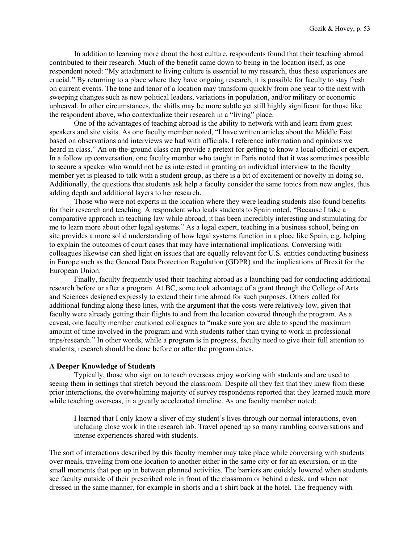In addition to learning more about the host culture, respondents found that their teaching abroad contributed to their research. Much of the benefit came down to being in the location itself, as one respondent noted: "My attachment to living culture is essential to my research, thus these experiences are crucial." By returning to a place where they have ongoing research, it is possible for faculty to stay fresh on current events. The tone and tenor of a location may transform quickly from one year to the next with sweeping changes such as new political leaders, variations in population, and/or military or economic upheaval. In other circumstances, the shifts may be more subtle yet still highly significant for those like the respondent above, who contextualize their research in a "living" place.

One of the advantages of teaching abroad is the ability to network with and learn from guest speakers and site visits. As one faculty member noted, "I have written articles about the Middle East based on observations and interviews we had with officials. I reference information and opinions we heard in class." An on-the-ground class can provide a pretext for getting to know a local official or expert. In a follow up conversation, one faculty member who taught in Paris noted that it was sometimes possible to secure a speaker who would not be as interested in granting an individual interview to the faculty member yet is pleased to talk with a student group, as there is a bit of excitement or novelty in doing so. Additionally, the questions that students ask help a faculty consider the same topics from new angles, thus adding depth and additional layers to her research.

Those who were not experts in the location where they were leading students also found benefits for their research and teaching. A respondent who leads students to Spain noted, "Because I take a comparative approach in teaching law while abroad, it has been incredibly interesting and stimulating for me to learn more about other legal systems." As a legal expert, teaching in a business school, being on site provides a more solid understanding of how legal systems function in a place like Spain, e.g. helping to explain the outcomes of court cases that may have international implications. Conversing with colleagues likewise can shed light on issues that are equally relevant for U.S. entities conducting business in Europe such as the General Data Protection Regulation (GDPR) and the implications of Brexit for the European Union.

Finally, faculty frequently used their teaching abroad as a launching pad for conducting additional research before or after a program. At BC, some took advantage of a grant through the College of Arts and Sciences designed expressly to extend their time abroad for such purposes. Others called for additional funding along these lines, with the argument that the costs were relatively low, given that faculty were already getting their flights to and from the location covered through the program. As a caveat, one faculty member cautioned colleagues to "make sure you are able to spend the maximum amount of time involved in the program and with students rather than trying to work in professional trips/research." In other words, while a program is in progress, faculty need to give their full attention to students; research should be done before or after the program dates.

## **A Deeper Knowledge of Students**

Typically, those who sign on to teach overseas enjoy working with students and are used to seeing them in settings that stretch beyond the classroom. Despite all they felt that they knew from these prior interactions, the overwhelming majority of survey respondents reported that they learned much more while teaching overseas, in a greatly accelerated timeline. As one faculty member noted:

I learned that I only know a sliver of my student's lives through our normal interactions, even including close work in the research lab. Travel opened up so many rambling conversations and intense experiences shared with students.

The sort of interactions described by this faculty member may take place while conversing with students over meals, traveling from one location to another either in the same city or for an excursion, or in the small moments that pop up in between planned activities. The barriers are quickly lowered when students see faculty outside of their prescribed role in front of the classroom or behind a desk, and when not dressed in the same manner, for example in shorts and a t-shirt back at the hotel. The frequency with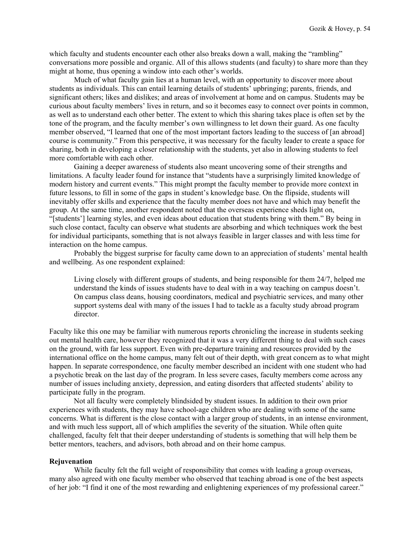which faculty and students encounter each other also breaks down a wall, making the "rambling" conversations more possible and organic. All of this allows students (and faculty) to share more than they might at home, thus opening a window into each other's worlds.

Much of what faculty gain lies at a human level, with an opportunity to discover more about students as individuals. This can entail learning details of students' upbringing; parents, friends, and significant others; likes and dislikes; and areas of involvement at home and on campus. Students may be curious about faculty members' lives in return, and so it becomes easy to connect over points in common, as well as to understand each other better. The extent to which this sharing takes place is often set by the tone of the program, and the faculty member's own willingness to let down their guard. As one faculty member observed, "I learned that one of the most important factors leading to the success of [an abroad] course is community." From this perspective, it was necessary for the faculty leader to create a space for sharing, both in developing a closer relationship with the students, yet also in allowing students to feel more comfortable with each other.

Gaining a deeper awareness of students also meant uncovering some of their strengths and limitations. A faculty leader found for instance that "students have a surprisingly limited knowledge of modern history and current events." This might prompt the faculty member to provide more context in future lessons, to fill in some of the gaps in student's knowledge base. On the flipside, students will inevitably offer skills and experience that the faculty member does not have and which may benefit the group. At the same time, another respondent noted that the overseas experience sheds light on, "[students'] learning styles, and even ideas about education that students bring with them." By being in such close contact, faculty can observe what students are absorbing and which techniques work the best for individual participants, something that is not always feasible in larger classes and with less time for interaction on the home campus.

Probably the biggest surprise for faculty came down to an appreciation of students' mental health and wellbeing. As one respondent explained:

Living closely with different groups of students, and being responsible for them 24/7, helped me understand the kinds of issues students have to deal with in a way teaching on campus doesn't. On campus class deans, housing coordinators, medical and psychiatric services, and many other support systems deal with many of the issues I had to tackle as a faculty study abroad program director.

Faculty like this one may be familiar with numerous reports chronicling the increase in students seeking out mental health care, however they recognized that it was a very different thing to deal with such cases on the ground, with far less support. Even with pre-departure training and resources provided by the international office on the home campus, many felt out of their depth, with great concern as to what might happen. In separate correspondence, one faculty member described an incident with one student who had a psychotic break on the last day of the program. In less severe cases, faculty members come across any number of issues including anxiety, depression, and eating disorders that affected students' ability to participate fully in the program.

Not all faculty were completely blindsided by student issues. In addition to their own prior experiences with students, they may have school-age children who are dealing with some of the same concerns. What is different is the close contact with a larger group of students, in an intense environment, and with much less support, all of which amplifies the severity of the situation. While often quite challenged, faculty felt that their deeper understanding of students is something that will help them be better mentors, teachers, and advisors, both abroad and on their home campus.

## **Rejuvenation**

While faculty felt the full weight of responsibility that comes with leading a group overseas, many also agreed with one faculty member who observed that teaching abroad is one of the best aspects of her job: "I find it one of the most rewarding and enlightening experiences of my professional career."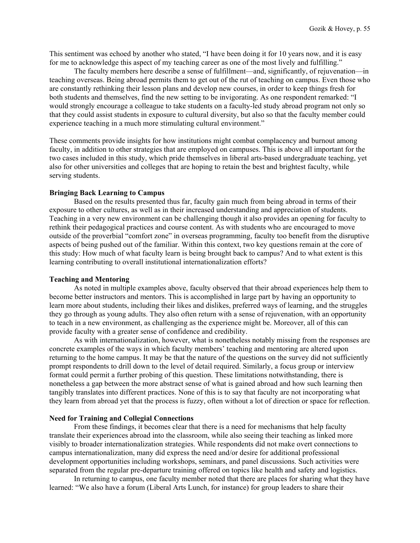This sentiment was echoed by another who stated, "I have been doing it for 10 years now, and it is easy for me to acknowledge this aspect of my teaching career as one of the most lively and fulfilling."

The faculty members here describe a sense of fulfillment—and, significantly, of rejuvenation—in teaching overseas. Being abroad permits them to get out of the rut of teaching on campus. Even those who are constantly rethinking their lesson plans and develop new courses, in order to keep things fresh for both students and themselves, find the new setting to be invigorating. As one respondent remarked: "I would strongly encourage a colleague to take students on a faculty-led study abroad program not only so that they could assist students in exposure to cultural diversity, but also so that the faculty member could experience teaching in a much more stimulating cultural environment."

These comments provide insights for how institutions might combat complacency and burnout among faculty, in addition to other strategies that are employed on campuses. This is above all important for the two cases included in this study, which pride themselves in liberal arts-based undergraduate teaching, yet also for other universities and colleges that are hoping to retain the best and brightest faculty, while serving students.

## **Bringing Back Learning to Campus**

Based on the results presented thus far, faculty gain much from being abroad in terms of their exposure to other cultures, as well as in their increased understanding and appreciation of students. Teaching in a very new environment can be challenging though it also provides an opening for faculty to rethink their pedagogical practices and course content. As with students who are encouraged to move outside of the proverbial "comfort zone" in overseas programming, faculty too benefit from the disruptive aspects of being pushed out of the familiar. Within this context, two key questions remain at the core of this study: How much of what faculty learn is being brought back to campus? And to what extent is this learning contributing to overall institutional internationalization efforts?

#### **Teaching and Mentoring**

As noted in multiple examples above, faculty observed that their abroad experiences help them to become better instructors and mentors. This is accomplished in large part by having an opportunity to learn more about students, including their likes and dislikes, preferred ways of learning, and the struggles they go through as young adults. They also often return with a sense of rejuvenation, with an opportunity to teach in a new environment, as challenging as the experience might be. Moreover, all of this can provide faculty with a greater sense of confidence and credibility.

As with internationalization, however, what is nonetheless notably missing from the responses are concrete examples of the ways in which faculty members' teaching and mentoring are altered upon returning to the home campus. It may be that the nature of the questions on the survey did not sufficiently prompt respondents to drill down to the level of detail required. Similarly, a focus group or interview format could permit a further probing of this question. These limitations notwithstanding, there is nonetheless a gap between the more abstract sense of what is gained abroad and how such learning then tangibly translates into different practices. None of this is to say that faculty are not incorporating what they learn from abroad yet that the process is fuzzy, often without a lot of direction or space for reflection.

#### **Need for Training and Collegial Connections**

From these findings, it becomes clear that there is a need for mechanisms that help faculty translate their experiences abroad into the classroom, while also seeing their teaching as linked more visibly to broader internationalization strategies. While respondents did not make overt connections to campus internationalization, many did express the need and/or desire for additional professional development opportunities including workshops, seminars, and panel discussions. Such activities were separated from the regular pre-departure training offered on topics like health and safety and logistics.

In returning to campus, one faculty member noted that there are places for sharing what they have learned: "We also have a forum (Liberal Arts Lunch, for instance) for group leaders to share their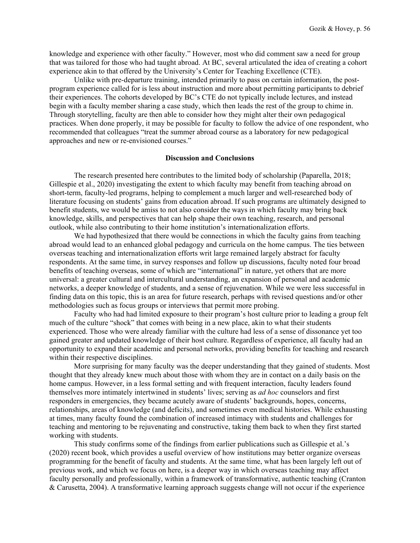knowledge and experience with other faculty." However, most who did comment saw a need for group that was tailored for those who had taught abroad. At BC, several articulated the idea of creating a cohort experience akin to that offered by the University's Center for Teaching Excellence (CTE).

Unlike with pre-departure training, intended primarily to pass on certain information, the postprogram experience called for is less about instruction and more about permitting participants to debrief their experiences. The cohorts developed by BC's CTE do not typically include lectures, and instead begin with a faculty member sharing a case study, which then leads the rest of the group to chime in. Through storytelling, faculty are then able to consider how they might alter their own pedagogical practices. When done properly, it may be possible for faculty to follow the advice of one respondent, who recommended that colleagues "treat the summer abroad course as a laboratory for new pedagogical approaches and new or re-envisioned courses."

## **Discussion and Conclusions**

The research presented here contributes to the limited body of scholarship (Paparella, 2018; Gillespie et al., 2020) investigating the extent to which faculty may benefit from teaching abroad on short-term, faculty-led programs, helping to complement a much larger and well-researched body of literature focusing on students' gains from education abroad. If such programs are ultimately designed to benefit students, we would be amiss to not also consider the ways in which faculty may bring back knowledge, skills, and perspectives that can help shape their own teaching, research, and personal outlook, while also contributing to their home institution's internationalization efforts.

We had hypothesized that there would be connections in which the faculty gains from teaching abroad would lead to an enhanced global pedagogy and curricula on the home campus. The ties between overseas teaching and internationalization efforts writ large remained largely abstract for faculty respondents. At the same time, in survey responses and follow up discussions, faculty noted four broad benefits of teaching overseas, some of which are "international" in nature, yet others that are more universal: a greater cultural and intercultural understanding, an expansion of personal and academic networks, a deeper knowledge of students, and a sense of rejuvenation. While we were less successful in finding data on this topic, this is an area for future research, perhaps with revised questions and/or other methodologies such as focus groups or interviews that permit more probing.

Faculty who had had limited exposure to their program's host culture prior to leading a group felt much of the culture "shock" that comes with being in a new place, akin to what their students experienced. Those who were already familiar with the culture had less of a sense of dissonance yet too gained greater and updated knowledge of their host culture. Regardless of experience, all faculty had an opportunity to expand their academic and personal networks, providing benefits for teaching and research within their respective disciplines.

More surprising for many faculty was the deeper understanding that they gained of students. Most thought that they already knew much about those with whom they are in contact on a daily basis on the home campus. However, in a less formal setting and with frequent interaction, faculty leaders found themselves more intimately intertwined in students' lives; serving as *ad hoc* counselors and first responders in emergencies, they became acutely aware of students' backgrounds, hopes, concerns, relationships, areas of knowledge (and deficits), and sometimes even medical histories. While exhausting at times, many faculty found the combination of increased intimacy with students and challenges for teaching and mentoring to be rejuvenating and constructive, taking them back to when they first started working with students.

This study confirms some of the findings from earlier publications such as Gillespie et al.'s (2020) recent book, which provides a useful overview of how institutions may better organize overseas programming for the benefit of faculty and students. At the same time, what has been largely left out of previous work, and which we focus on here, is a deeper way in which overseas teaching may affect faculty personally and professionally, within a framework of transformative, authentic teaching (Cranton & Carusetta, 2004). A transformative learning approach suggests change will not occur if the experience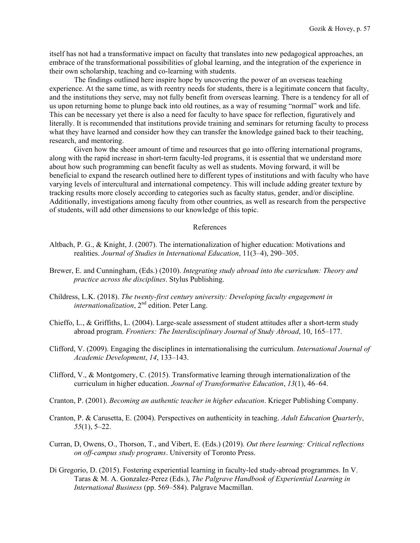itself has not had a transformative impact on faculty that translates into new pedagogical approaches, an embrace of the transformational possibilities of global learning, and the integration of the experience in their own scholarship, teaching and co-learning with students.

The findings outlined here inspire hope by uncovering the power of an overseas teaching experience. At the same time, as with reentry needs for students, there is a legitimate concern that faculty, and the institutions they serve, may not fully benefit from overseas learning. There is a tendency for all of us upon returning home to plunge back into old routines, as a way of resuming "normal" work and life. This can be necessary yet there is also a need for faculty to have space for reflection, figuratively and literally. It is recommended that institutions provide training and seminars for returning faculty to process what they have learned and consider how they can transfer the knowledge gained back to their teaching, research, and mentoring.

Given how the sheer amount of time and resources that go into offering international programs, along with the rapid increase in short-term faculty-led programs, it is essential that we understand more about how such programming can benefit faculty as well as students. Moving forward, it will be beneficial to expand the research outlined here to different types of institutions and with faculty who have varying levels of intercultural and international competency. This will include adding greater texture by tracking results more closely according to categories such as faculty status, gender, and/or discipline. Additionally, investigations among faculty from other countries, as well as research from the perspective of students, will add other dimensions to our knowledge of this topic.

#### References

- Altbach, P. G., & Knight, J. (2007). The internationalization of higher education: Motivations and realities. *Journal of Studies in International Education*, 11(3–4), 290–305.
- Brewer, E. and Cunningham, (Eds.) (2010). *Integrating study abroad into the curriculum: Theory and practice across the disciplines*. Stylus Publishing.
- Childress, L.K. (2018). *The twenty-first century university: Developing faculty engagement in internationalization*, 2<sup>nd</sup> edition. Peter Lang.
- Chieffo, L., & Griffiths, L. (2004). Large-scale assessment of student attitudes after a short-term study abroad program. *Frontiers: The Interdisciplinary Journal of Study Abroad*, 10, 165–177.
- Clifford, V. (2009). Engaging the disciplines in internationalising the curriculum. *International Journal of Academic Development*, *14*, 133–143.
- Clifford, V., & Montgomery, C. (2015). Transformative learning through internationalization of the curriculum in higher education. *Journal of Transformative Education*, *13*(1), 46–64.
- Cranton, P. (2001). *Becoming an authentic teacher in higher education*. Krieger Publishing Company.
- Cranton, P. & Carusetta, E. (2004). Perspectives on authenticity in teaching. *Adult Education Quarterly*, *55*(1), 5–22.
- Curran, D, Owens, O., Thorson, T., and Vibert, E. (Eds.) (2019). *Out there learning: Critical reflections on off-campus study programs*. University of Toronto Press.
- Di Gregorio, D. (2015). Fostering experiential learning in faculty-led study-abroad programmes. In V. Taras & M. A. Gonzalez-Perez (Eds.), *The Palgrave Handbook of Experiential Learning in International Business* (pp. 569–584). Palgrave Macmillan.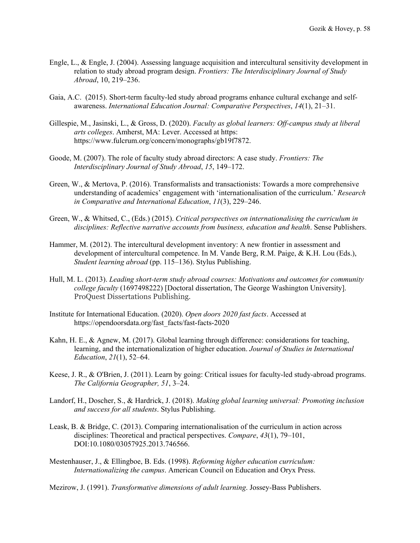- Engle, L., & Engle, J. (2004). Assessing language acquisition and intercultural sensitivity development in relation to study abroad program design. *Frontiers: The Interdisciplinary Journal of Study Abroad*, 10, 219–236.
- Gaia, A.C. (2015). Short-term faculty-led study abroad programs enhance cultural exchange and selfawareness. *International Education Journal: Comparative Perspectives*, *14*(1), 21–31.
- Gillespie, M., Jasinski, L., & Gross, D. (2020). *Faculty as global learners: Off-campus study at liberal arts colleges*. Amherst, MA: Lever. Accessed at https: [https://www.fulcrum.org/concern/monographs/gb19f7872.](https://www.fulcrum.org/concern/monographs/gb19f7872)
- Goode, M. (2007). The role of faculty study abroad directors: A case study. *Frontiers: The Interdisciplinary Journal of Study Abroad*, *15*, 149–172.
- Green, W., & Mertova, P. (2016). Transformalists and transactionists: Towards a more comprehensive understanding of academics' engagement with 'internationalisation of the curriculum.' *Research in Comparative and International Education*, *11*(3), 229–246.
- Green, W., & Whitsed, C., (Eds.) (2015). *Critical perspectives on internationalising the curriculum in disciplines: Reflective narrative accounts from business, education and health*. Sense Publishers.
- Hammer, M. (2012). The intercultural development inventory: A new frontier in assessment and development of intercultural competence. In M. Vande Berg, R.M. Paige, & K.H. Lou (Eds.), *Student learning abroad* (pp. 115–136). Stylus Publishing.
- Hull, M. L. (2013). *Leading short-term study abroad courses: Motivations and outcomes for community college faculty* (1697498222) [Doctoral dissertation, The George Washington University]. ProQuest Dissertations Publishing.
- Institute for International Education. (2020). *Open doors 2020 fast facts*. Accessed at https://opendoorsdata.org/fast\_facts/fast-facts-2020
- Kahn, H. E., & Agnew, M. (2017). Global learning through difference: considerations for teaching, learning, and the internationalization of higher education. *Journal of Studies in International Education*, *21*(1), 52–64.
- Keese, J. R., & O'Brien, J. (2011). Learn by going: Critical issues for faculty-led study-abroad programs. *The California Geographer, 51*, 3–24.
- Landorf, H., Doscher, S., & Hardrick, J. (2018). *Making global learning universal: Promoting inclusion and success for all students*. Stylus Publishing.
- Leask, B. & Bridge, C. (2013). Comparing internationalisation of the curriculum in action across disciplines: Theoretical and practical perspectives. *Compare*, *43*(1), 79–101, DOI:10.1080/03057925.2013.746566.
- Mestenhauser, J., & Ellingboe, B. Eds. (1998). *Reforming higher education curriculum: Internationalizing the campus*. American Council on Education and Oryx Press.
- Mezirow, J. (1991). *Transformative dimensions of adult learning*. Jossey-Bass Publishers.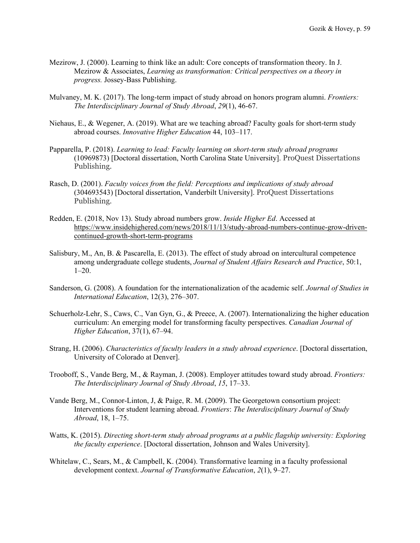- Mezirow, J. (2000). Learning to think like an adult: Core concepts of transformation theory. In J. Mezirow & Associates, *Learning as transformation: Critical perspectives on a theory in progress.* Jossey-Bass Publishing.
- Mulvaney, M. K. (2017). The long-term impact of study abroad on honors program alumni. *Frontiers: The Interdisciplinary Journal of Study Abroad*, *29*(1), 46-67.
- Niehaus, E., & Wegener, A. (2019). What are we teaching abroad? Faculty goals for short-term study abroad courses. *Innovative Higher Education* 44, 103–117.
- Papparella, P. (2018). *Learning to lead: Faculty learning on short-term study abroad programs* (10969873) [Doctoral dissertation, North Carolina State University]. ProQuest Dissertations Publishing.
- Rasch, D. (2001). *Faculty voices from the field: Perceptions and implications of study abroad* (304693543) [Doctoral dissertation, Vanderbilt University]. ProQuest Dissertations Publishing.
- Redden, E. (2018, Nov 13). Study abroad numbers grow. *Inside Higher Ed*. Accessed at [https://www.insidehighered.com/news/2018/11/13/study-abroad-numbers-continue-grow-driven](https://www.insidehighered.com/news/2018/11/13/study-abroad-numbers-continue-grow-driven-continued-growth-short-term-programs)[continued-growth-short-term-programs](https://www.insidehighered.com/news/2018/11/13/study-abroad-numbers-continue-grow-driven-continued-growth-short-term-programs)
- Salisbury, M., An, B. & Pascarella, E. (2013). The effect of study abroad on intercultural competence among undergraduate college students, *Journal of Student Affairs Research and Practice*, 50:1, 1–20.
- Sanderson, G. (2008). A foundation for the internationalization of the academic self. *Journal of Studies in International Education*, 12(3), 276–307.
- Schuerholz-Lehr, S., Caws, C., Van Gyn, G., & Preece, A. (2007). Internationalizing the higher education curriculum: An emerging model for transforming faculty perspectives. *Canadian Journal of Higher Education*, 37(1), 67–94.
- Strang, H. (2006). *Characteristics of faculty leaders in a study abroad experience*. [Doctoral dissertation, University of Colorado at Denver].
- Trooboff, S., Vande Berg, M., & Rayman, J. (2008). Employer attitudes toward study abroad. *Frontiers: The Interdisciplinary Journal of Study Abroad*, *15*, 17–33.
- Vande Berg, M., Connor-Linton, J, & Paige, R. M. (2009). The Georgetown consortium project: Interventions for student learning abroad. *Frontiers*: *The Interdisciplinary Journal of Study Abroad*, 18, 1–75.
- Watts, K. (2015). *Directing short-term study abroad programs at a public flagship university: Exploring the faculty experience*. [Doctoral dissertation, Johnson and Wales University].
- Whitelaw, C., Sears, M., & Campbell, K. (2004). Transformative learning in a faculty professional development context. *Journal of Transformative Education*, *2*(1), 9–27.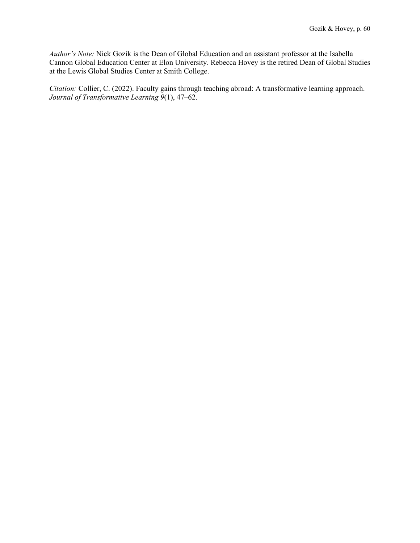*Author's Note:* Nick Gozik is the Dean of Global Education and an assistant professor at the Isabella Cannon Global Education Center at Elon University. Rebecca Hovey is the retired Dean of Global Studies at the Lewis Global Studies Center at Smith College.

*Citation:* Collier, C. (2022). Faculty gains through teaching abroad: A transformative learning approach. *Journal of Transformative Learning 9*(1), 47–62.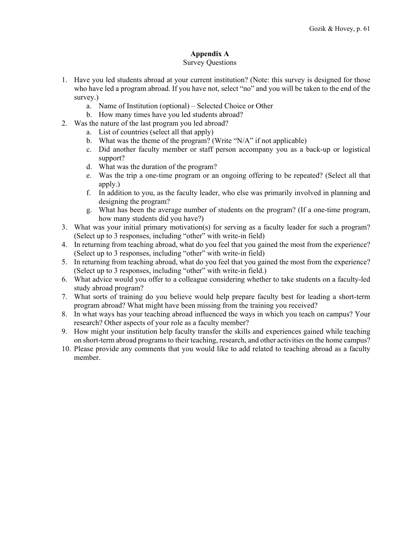# **Appendix A**

## Survey Questions

- 1. Have you led students abroad at your current institution? (Note: this survey is designed for those who have led a program abroad. If you have not, select "no" and you will be taken to the end of the survey.)
	- a. Name of Institution (optional) Selected Choice or Other
	- b. How many times have you led students abroad?
- 2. Was the nature of the last program you led abroad?
	- a. List of countries (select all that apply)
	- b. What was the theme of the program? (Write "N/A" if not applicable)
	- c. Did another faculty member or staff person accompany you as a back-up or logistical support?
	- d. What was the duration of the program?
	- e. Was the trip a one-time program or an ongoing offering to be repeated? (Select all that apply.)
	- f. In addition to you, as the faculty leader, who else was primarily involved in planning and designing the program?
	- g. What has been the average number of students on the program? (If a one-time program, how many students did you have?)
- 3. What was your initial primary motivation(s) for serving as a faculty leader for such a program? (Select up to 3 responses, including "other" with write-in field)
- 4. In returning from teaching abroad, what do you feel that you gained the most from the experience? (Select up to 3 responses, including "other" with write-in field)
- 5. In returning from teaching abroad, what do you feel that you gained the most from the experience? (Select up to 3 responses, including "other" with write-in field.)
- 6. What advice would you offer to a colleague considering whether to take students on a faculty-led study abroad program?
- 7. What sorts of training do you believe would help prepare faculty best for leading a short-term program abroad? What might have been missing from the training you received?
- 8. In what ways has your teaching abroad influenced the ways in which you teach on campus? Your research? Other aspects of your role as a faculty member?
- 9. How might your institution help faculty transfer the skills and experiences gained while teaching on short-term abroad programs to their teaching, research, and other activities on the home campus?
- 10. Please provide any comments that you would like to add related to teaching abroad as a faculty member.